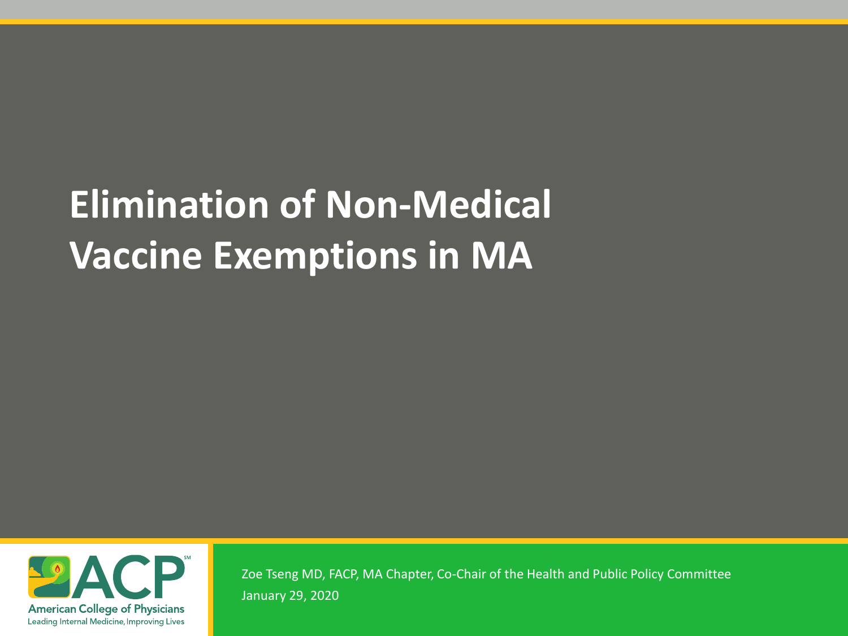# **Elimination of Non-Medical Vaccine Exemptions in MA**



Zoe Tseng MD, FACP, MA Chapter, Co-Chair of the Health and Public Policy Committee January 29, 2020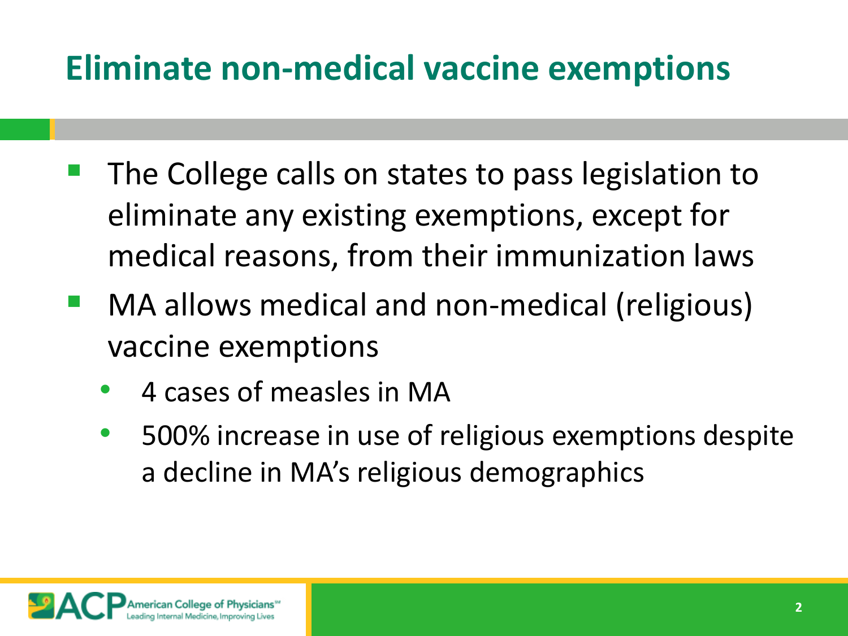### **Eliminate non-medical vaccine exemptions**

- The College calls on states to pass legislation to eliminate any existing exemptions, except for medical reasons, from their immunization laws
- MA allows medical and non-medical (religious) vaccine exemptions
	- 4 cases of measles in MA
	- 500% increase in use of religious exemptions despite a decline in MA's religious demographics

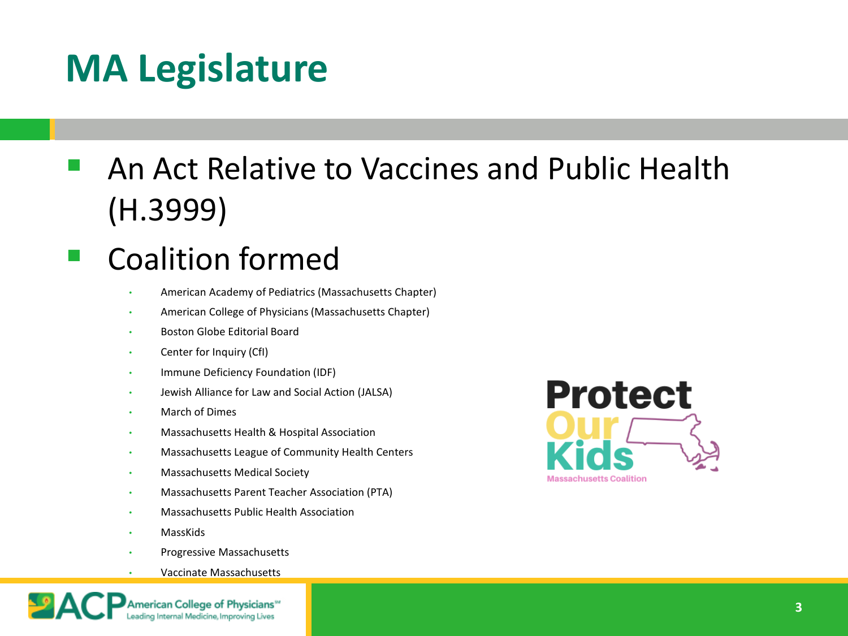## **MA Legislature**

 An Act Relative to Vaccines and Public Health (H.3999)

### Coalition formed

- American Academy of Pediatrics (Massachusetts Chapter)
- American College of Physicians (Massachusetts Chapter)
- Boston Globe Editorial Board
- Center for Inquiry (CfI)
- Immune Deficiency Foundation (IDF)
- Jewish Alliance for Law and Social Action (JALSA)
- March of Dimes
- Massachusetts Health & Hospital Association
- Massachusetts League of Community Health Centers
- Massachusetts Medical Society
- Massachusetts Parent Teacher Association (PTA)
- Massachusetts Public Health Association
- MassKids
- Progressive Massachusetts
- Vaccinate Massachusetts



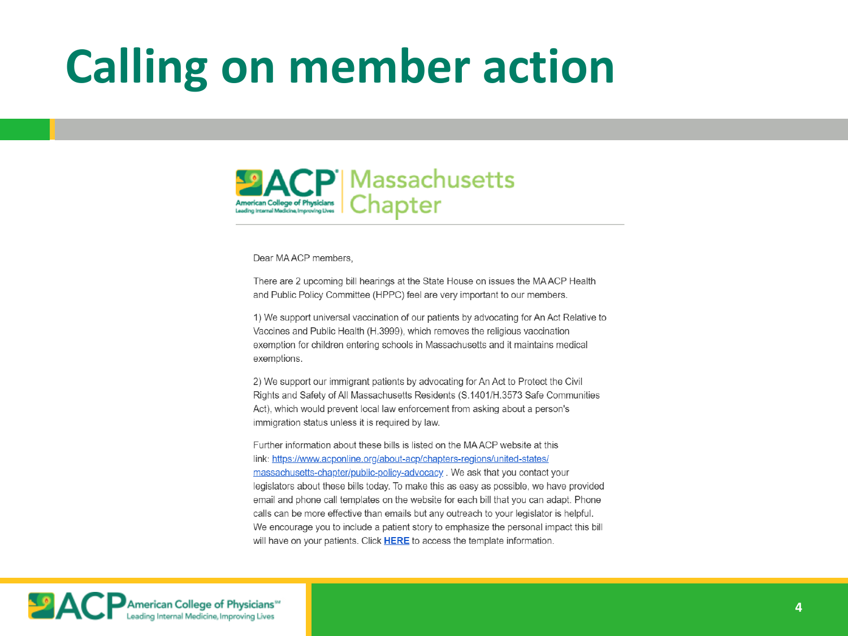# **Calling on member action**



#### Dear MA ACP members

There are 2 upcoming bill hearings at the State House on issues the MAACP Health and Public Policy Committee (HPPC) feel are very important to our members.

1) We support universal vaccination of our patients by advocating for An Act Relative to Vaccines and Public Health (H.3999), which removes the religious vaccination exemption for children entering schools in Massachusetts and it maintains medical exemptions.

2) We support our immigrant patients by advocating for An Act to Protect the Civil Rights and Safety of All Massachusetts Residents (S.1401/H.3573 Safe Communities Act), which would prevent local law enforcement from asking about a person's immigration status unless it is required by law.

Further information about these bills is listed on the MAACP website at this link: https://www.acponline.org/about-acp/chapters-regions/united-states/ massachusetts-chapter/public-policy-advocacy, We ask that you contact your legislators about these bills today. To make this as easy as possible, we have provided email and phone call templates on the website for each bill that you can adapt. Phone calls can be more effective than emails but any outreach to your legislator is helpful. We encourage you to include a patient story to emphasize the personal impact this bill will have on your patients. Click HERE to access the template information.

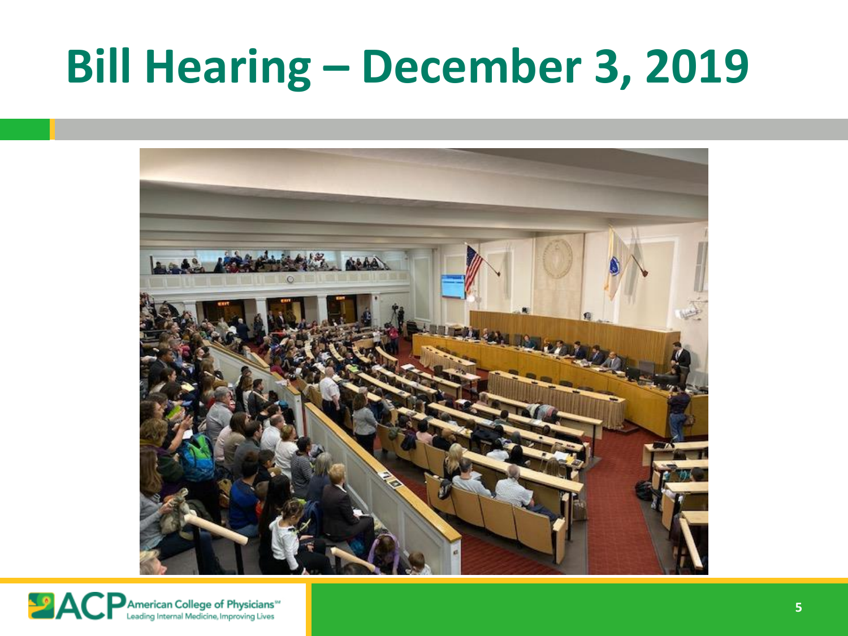# **Bill Hearing – December 3, 2019**



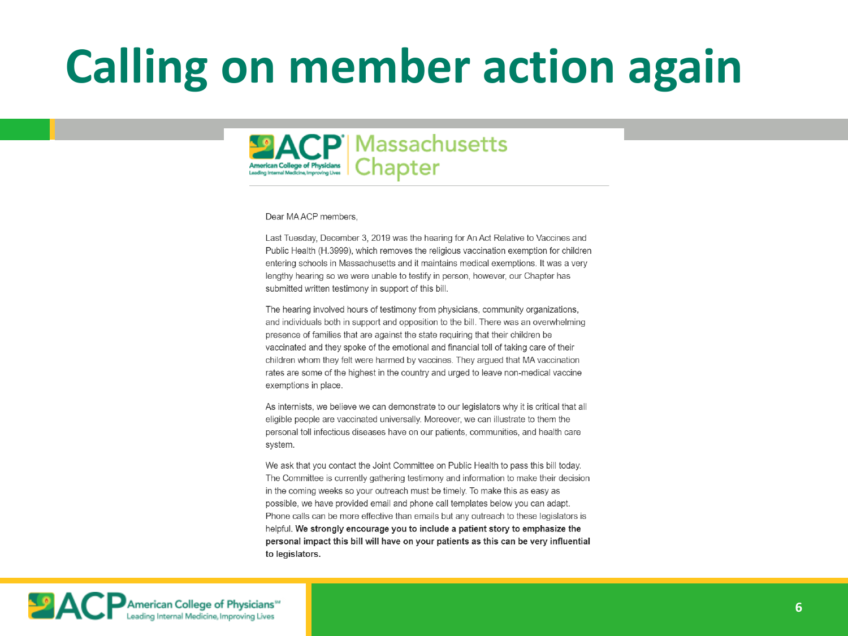# **Calling on member action again**



Dear MAACP members.

Last Tuesday, December 3, 2019 was the hearing for An Act Relative to Vaccines and Public Health (H.3999), which removes the religious vaccination exemption for children entering schools in Massachusetts and it maintains medical exemptions. It was a very lengthy hearing so we were unable to testify in person, however, our Chapter has submitted written testimony in support of this bill.

The hearing involved hours of testimony from physicians, community organizations, and individuals both in support and opposition to the bill. There was an overwhelming presence of families that are against the state requiring that their children be vaccinated and they spoke of the emotional and financial toll of taking care of their children whom they felt were harmed by vaccines. They argued that MA vaccination rates are some of the highest in the country and urged to leave non-medical vaccine exemptions in place.

As internists, we believe we can demonstrate to our legislators why it is critical that all eligible people are vaccinated universally. Moreover, we can illustrate to them the personal toll infectious diseases have on our patients, communities, and health care system.

We ask that you contact the Joint Committee on Public Health to pass this bill today. The Committee is currently gathering testimony and information to make their decision in the coming weeks so your outreach must be timely. To make this as easy as possible, we have provided email and phone call templates below you can adapt. Phone calls can be more effective than emails but any outreach to these legislators is helpful. We strongly encourage you to include a patient story to emphasize the personal impact this bill will have on your patients as this can be very influential to legislators.

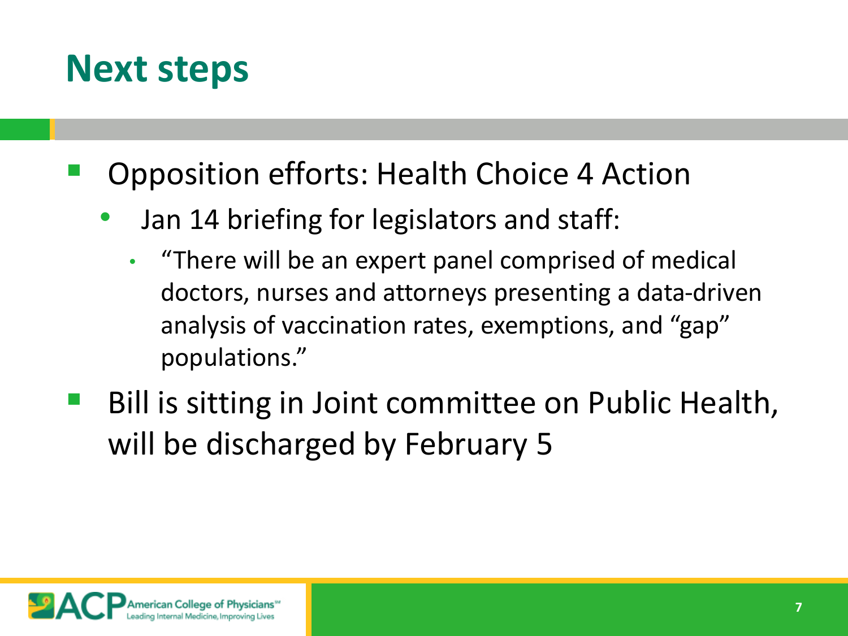### **Next steps**

- Opposition efforts: Health Choice 4 Action
	- Jan 14 briefing for legislators and staff:
		- "There will be an expert panel comprised of medical doctors, nurses and attorneys presenting a data-driven analysis of vaccination rates, exemptions, and "gap" populations."
- Bill is sitting in Joint committee on Public Health, will be discharged by February 5